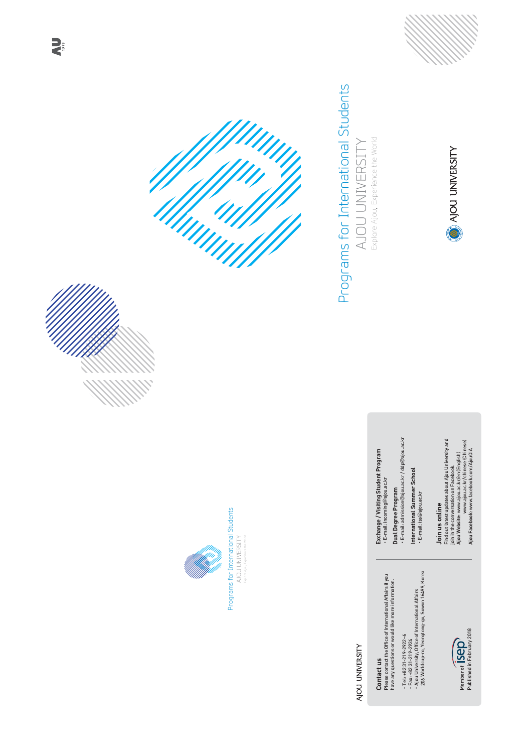





# Programs for International Students AJOU UNIVERSITY Explore Ajou, Experience the World

**AJOU UNIVERSITY** 



**AU** 

# **AJOU UNIVERSITY**

Contact us

Please contact the Office of International Affairs if you have any questions or would like more information.

•Tel: +82 31-219-2922~6

•Fax: +82 31-219-2924

 • Ajou University, Office of International Affairs 206 Worldcup-ro, Yeongtong-gu, Suwon 16499, Korea



Exchange / Visiting Student Program •E-mail: incoming!ajou.ac.kr

Dual Degree Program •E-mail: admission!ajou.ac.kr / ddp!ajou.ac.kr

International Summer School • E-mail: iss@ajou.ac.kr

Join us online Find out latest updates about Ajou University and join in the conversation on Facebook. Ajou Website: www.ajou.ac.kr/en (English) www.ajou.ac.kr/chinese (Chinese) Ajou Facebook: www.facebook.com/AjouOIA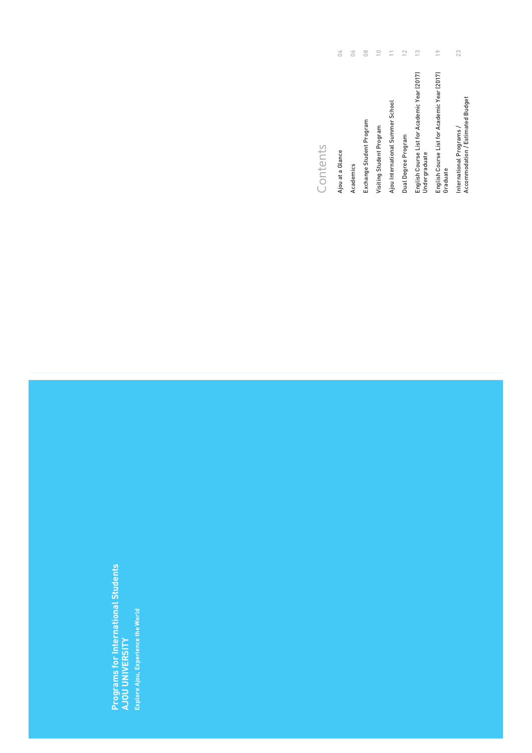Programs for International Students AJOU UNIVERSITY Explore Ajou, Experience the World

### Contents

| Ajou at a Glance                                                    | ΩZ |
|---------------------------------------------------------------------|----|
| Academics                                                           | 06 |
| Exchange Student Program                                            | 08 |
| Visiting Student Program                                            | 10 |
| Ajou International Summer School                                    | 11 |
| Dual Degree Program                                                 | 12 |
| English Course List for Academic Year (2017)<br>Undergraduate       | 13 |
| English Course List for Academic Year (2017)<br>Graduate            | 19 |
| International Programs /<br><b>Accommodation / Estimated Budget</b> | 23 |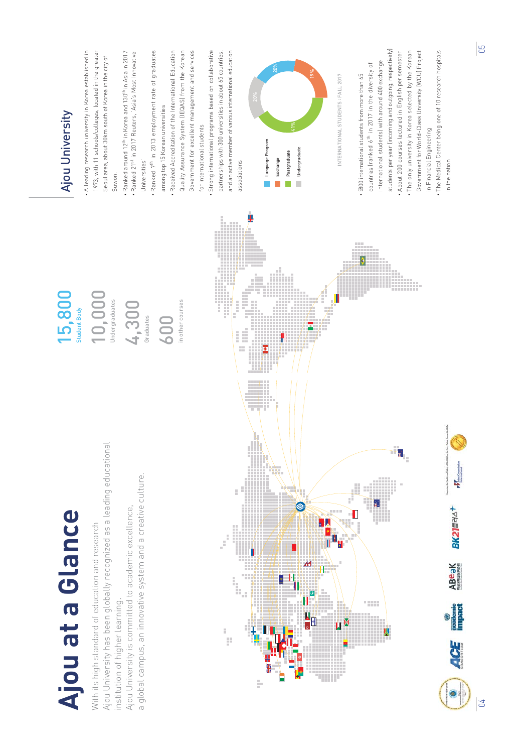# Ajou at a Glance

With its high standard of education and research Ajou University has been globally recognized as a leading educational institution of higher learning.

Ajou University is committed to academic excellence,

a global campus, an innovative system and a creative culture.

Student Body

10,000 Undergraduates

4,300 Graduates

600

in other courses



# 15,800 Ajou University

- •A leading research university in Korea established in 1973, with 11 schools/colleges, located in the greater Seoul area, about 30km south of Korea in the city of Suwon
- Ranked around  $12^{\text{th}}$  in Korea and  $130^{\text{th}}$  in Asia in 2017 • Ranked 21st in 2017 Reuters, 'Asia's Most Innovative Universities'
- Ranked 7<sup>th</sup> in 2013 employment rate of graduates among top 15 Korean universities
- Received Accreditation of the International EducationQuality Assurance System (IEQAS) from the Korean Government for excellent management and services for international students
- Strong international programs based on collaborative partnerships with 300 universities in about 65 countries, and an active member of various international educationassociations



INTERNATIONAL STUDENTS : FALL 201

- 9800 international students from more than 65 countries (ranked  $6^{\text{th}}$  in 2017 in the diversity of international students) with around 400 exchange students per year (incoming and outgoing, respectively) • About 200 courses lectured in English per semester
- The only university in Korea selected by the Korean Government for World-Class University (WCU) Project in Financial Engineering
- The Medical Center being one of 10 research hospitals in the nation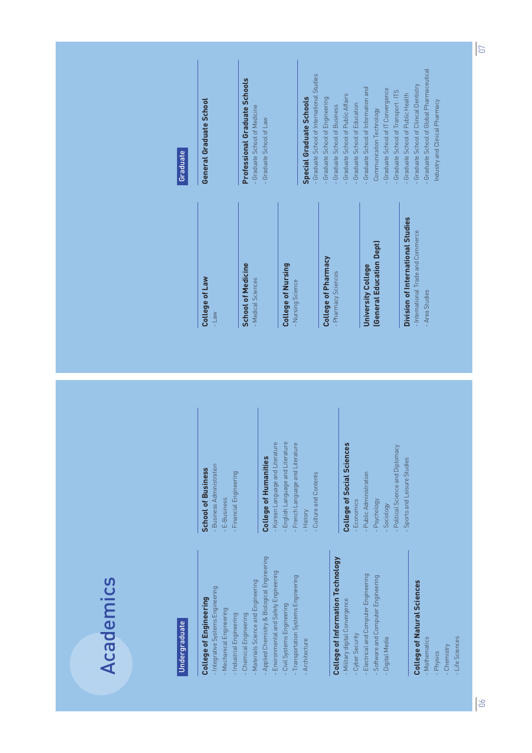# **Academics**

#### Undergraduate

#### College of Engineering

- Integrative Systems Engineering

- Mechanical Engineering
- Industrial Engineering
- Chemical Engineering
- Materials Science and Engineering
- Applied Chemistry & Biological Engineering
- Environmental and Safety Engineering
- Civil Systems Engineering
- Transportation Systems Engineering - Architecture

#### College of Information Technology

- Military digital Convergence
- Cyber Security
- Electrical and Computer Engineering
- Software and Computer Engineering
- Digital Media

#### College of Natural Sciences

- Mathematics
- Physics
- Chemistry
- Life Sciences

#### School of Business

- Business Administration

- E-Business

- Financial Engineering

#### College of Humanities

- Korean Language and Literature - English Language and Literature - French Language and Literature
- History
- Culture and Contents

#### College of Social Sciences

- Economics
- Public Administration
- Psychology
- Sociology
- Political Science and Diplomacy
- Sports and Leisure Studies

#### College of Law - Law

School of Medicine- Medical Sciences

#### College of Nursing - Nursing Science

# College of Pharmacy

- Pharmacy Sciences

#### University College (General Education Dept)

#### Division of International Studies

- International Trade and Commerce

- Area Studies

#### Graduate

#### General Graduate School

Professional Graduate Schools- Graduate School of Medicine- Graduate School of Law

#### Special Graduate Schools

- Graduate School of International Studies
- Graduate School of Engineering
- Graduate School of Business
- Graduate School of Public Affairs
- Graduate School of Education
- Graduate School of Information and
- Communication Technology
- Graduate School of IT Convergence
- Graduate School of Transport · ITS
- Graduate School of Public Health
- Graduate School of Clinical Dentistry
- Graduate School of Global Pharmaceutical
- Industry and Clinical Pharmacy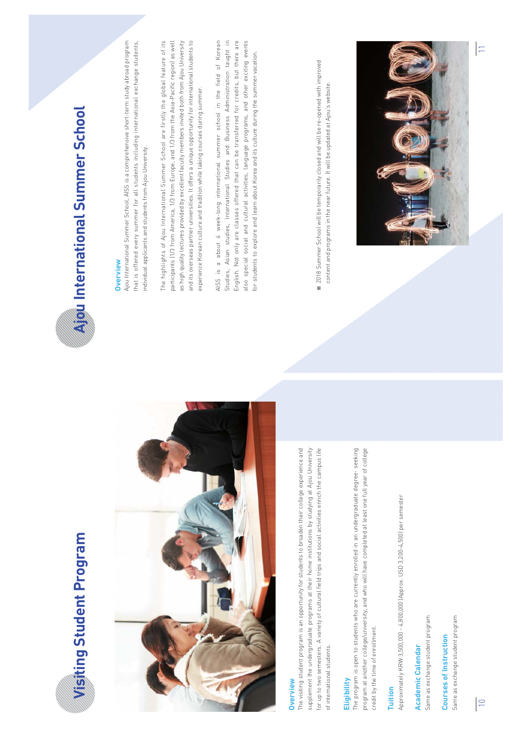



#### **Overview**

The visiting student program is an opportunity for students to broaden their college experience and supplement the undergraduate programs at their home institutions by studying at Ajou University for up to two semesters. A variety of cultural field trips and social activities enrich the campus life of international students.

#### **Eligibility**

The program is open to students who are currently enrolled in an undergraduate degree- seeking program at another college/university, and who will have completed at least one full year of college credit by the time of enrollment.

#### Tuition

Approximately KRW 3,500,000 - 4,00,000 (Approx. USD 3,200-4,00) per semester

Academic Calendar

Same as exchange student program

#### Courses of Instruction

Same as exchange student program



#### **Overview**

Ajou International Summer School, AISS is a comprehensive short-term study abroad program that is offered every summer for all students including international exchange students, individual applicants and students from Ajou University.

The highlights of Ajou International Summer School are firstly the global feature of its participants (1/3 from America, 1/3 from Europe, and 1/3 from the Asia-Pacific region) as well as high quality lectures provided by excellent faculty members invited both from Ajou University and its overseas partner universities. It offers a unique opportunity for international students to experience Korean culture and tradition while taking courses during summer.

AISS is a about 4 week-long international summer school in the field of Korean Studies, Asian studies, International Studies and Business Administration taught in English. Not only are classes offered that can be transferred for credits, but there are also special social and cultural activities, language programs, and other exciting events for students to explore and learn about Korea and its culture during the summer vacation.

Ⲽ 201 Summer School will be temporarily closed and will be re-opened with improved content and programs in the near future. It will be updated at Ajou's website.

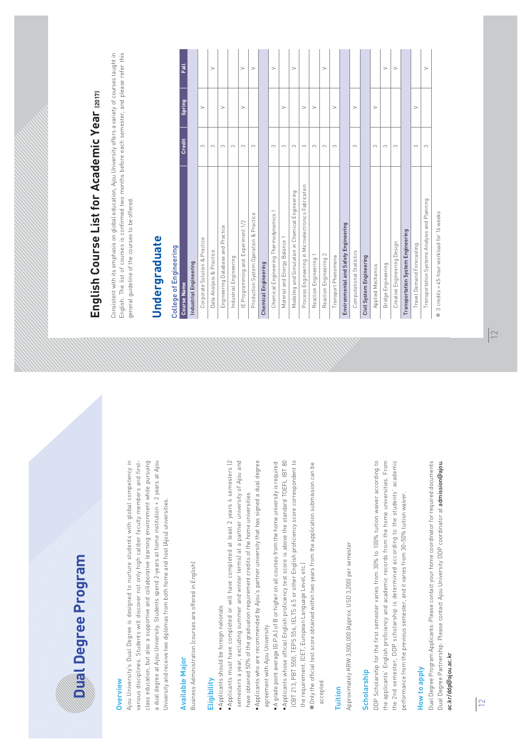# Dual Degree Program

#### **Overview**

Ajou University's Dual Degree is designed to nurture students with global competency in various disciplines. Students will discover not only high caliber faculty members and firstclass education, but also a supportive and collaborative learning environment while pursuing a dual degree at Ajou University. Students spend 2-years at home institution + 2 years at Ajou University and receive two diplomas from both home and host (Ajou) universities.

#### Available Major

Business Administration (courses are offered in English)

#### **Eligibility**

- ⷅApplicants should be foreign nationals
- ⷅApplicants must have completed or will have completed at least 2 years 4 semesters (2 semesters a year, excluding summer and winter terms) at a partner university of Ajou and have obtained 50% of the graduation requirement credits of the home universities
- ⷅApplicants who are recommended by Ajou's partner university that has signed a dual degree agreement with Ajou University
- ⷅA grade point average (G.P.A.) of B or higher on all courses from the home university is required
- ⷅApplicants whose official English proficiency test score is above the standard TOEFL IBT 80 (CBT 213, PBT 550), TEPS 556, IELTS 6.5 or other English proficiency score correspondent to the requirement. (CET, European Language Level, etc.)
- ⲼOnly the official test score obtained within two years from the application submission can be accepted.

#### Tuition

Approximately KRW 3,500,000 (Approx. USD 3,200) per semester

#### **Scholarship**

DDP Scholarship for the first semester varies from 30% to 100% tuition waiver according to the applicants' English proficiency and academic records from the home universities. From the 2nd semester, DDP scholarship is determined according to the students' academic performance from the previous semester, and it varies from 30~50% tuition waiver.

#### How to apply

Dual Degree Program Applicants: Please contact your home coordinator for required documents Dual Degree Partnership: Please contact Ajou University DDP coordinator at admission@ajou. ac.kr/ddp@ajou.ac.kr

# English Course List for Academic Year (2017)

Consistent with its emphasis on global education, Ajou University offers a variety of courses taught in English. The list of courses is confirmed two months before each semester, and please refer this general quideline of the courses to be offered.

# Undergraduate

#### College of Engineering

| <b>Course Name</b>                                  | <b>Credit</b> | <b>Spring</b> | Fall   |
|-----------------------------------------------------|---------------|---------------|--------|
| <b>Industrial Engineering</b>                       |               |               |        |
| Corporate Solution & Practice                       | 3             | V             |        |
| Data Analysis & Practice                            | 3             |               | $\vee$ |
| Engineering Database and Practice                   | 3             | V             |        |
| Industrial Engineering                              | 3             |               |        |
| IE Programming and Experiment 1/2                   | 3             | V             | V      |
| Production System Operation & Practice              | 3             |               | $\vee$ |
| <b>Chemical Engineering</b>                         |               |               |        |
| Chemical Engineering Thermodynamics 1               | 3             |               | V      |
| Material and Energy Balance 1                       | 3             | V             |        |
| Modeling and Simulation in Chemical Engineering     | 3             |               | $\vee$ |
| Process Engineering in Microelectronics Fabrication | 3             | V             |        |
| Reaction Engineering 1                              | 3             | V             |        |
| Reaction Engineering 2                              | 3             |               | $\vee$ |
| Transport Phenomena                                 | 3             | V             |        |
| <b>Environmental and Safety Engineering</b>         |               |               |        |
| <b>Computational Statistics</b>                     | 3             | V             |        |
| <b>Civil System Engineering</b>                     |               |               |        |
| <b>Applied Mechanics</b>                            | 3             | V             |        |
| Bridge Engineering                                  | 3             |               | $\vee$ |
| Creative Engineering Design                         | 3             |               | V      |
| <b>Transportation System Engineering</b>            |               |               |        |
| <b>Travel Demand Forecasting</b>                    | 3             | V             |        |
| Transportation Systems Analysis and Planning        | 3             |               | V      |

 $\mathcal K$  3 credits = 45-hour workload for 16 weeks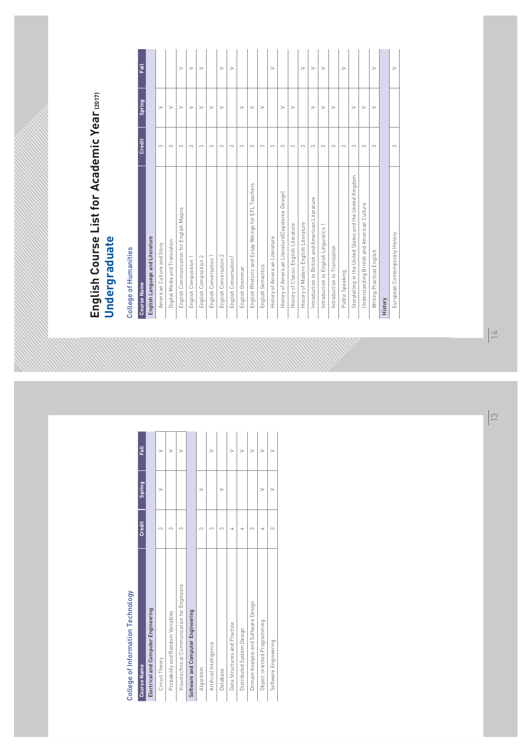### College of Information Technology

| <b>Course Name</b>                         | <b>Credit</b> | <b>Spring</b> | Fall   |
|--------------------------------------------|---------------|---------------|--------|
| <b>Electrical and Computer Engineering</b> |               |               |        |
| Circuit Theory                             | 3             | V             | V      |
| Probability and Random Variables           | 3             |               | V      |
| Visuotechnical Communication for Engineers | 3             |               | $\vee$ |
| Software and Computer Engineering          |               |               |        |
| Algorithm                                  | 3             | V             |        |
| Artificial Intelligence                    | 3             |               | V      |
| Database                                   | 3             | V             |        |
| Data Structures and Practice               | 4             |               | V      |
| Distributed System Design                  | 4             |               | $\vee$ |
| Domain Analysis and Software Design        | 3             |               | V      |
| Object-oriented Programming                | 4             | V             | $\vee$ |
| Software Engineering                       | 3             | V             |        |

# English Course List for Academic Year (2017) Undergraduate

### College of Humanities

| <b>Course Name</b>                                       | <b>Credit</b> | <b>Spring</b> | <b>Fall</b> |
|----------------------------------------------------------|---------------|---------------|-------------|
| <b>English Language and Literature</b>                   |               |               |             |
| American Culture and Story                               | 3             | V             |             |
| Digital Media and Translation                            | 3             | V             |             |
| English Communication for English Majors                 | 3             | $\vee$        | V           |
| <b>English Composition 1</b>                             | 3             | V             | V           |
| <b>English Composition 2</b>                             | 3             | $\vee$        | V           |
| English Conversation 1                                   | 3             | $\vee$        |             |
| <b>English Conversation 2</b>                            | 3             | V             | $\vee$      |
| English Conversation1                                    | 3             |               | V           |
| English Grammar                                          | 3             | V             |             |
| English Rhetoric and Essay Witings for EFL Teachers      | 3             | V             |             |
| <b>English Semantics</b>                                 | 3             | $\vee$        |             |
| History of American Literature                           | 3             |               | $\vee$      |
| History of American Literature(Capstorne Design)         | 3             | $\vee$        |             |
| History of Classic English Literature                    | 3             | $\vee$        |             |
| History of Modern English Literature                     | 3             |               | $\vee$      |
| Introduction to British and American Literature          | 3             | $\vee$        | V           |
| Introduction to English Linguistics 1                    | 3             | $\vee$        | $\vee$      |
| Introduction to Translation                              | 3             | V             |             |
| Public Speaking                                          | 3             |               | $\vee$      |
| Storytelling in the United States and the United Kingdom | 3             | V             |             |
| Understanding British and American Culture               | 3             | V             |             |
| Writing Practical English                                | 3             | $\vee$        | $\vee$      |
| History                                                  |               |               |             |
| European Contemporary History                            | 3             |               | V           |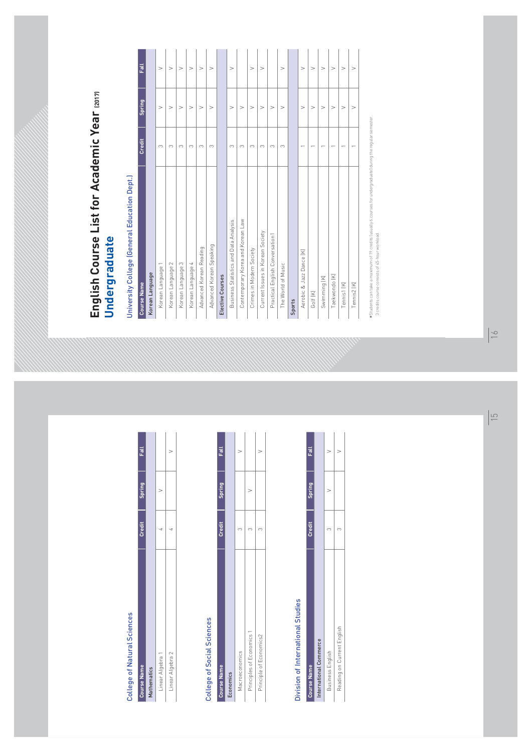#### College of Natural Sciences

| <b>Course Name</b> | Credit | <b>Spring</b> | <b>Fall</b> |
|--------------------|--------|---------------|-------------|
| <b>Mathematics</b> |        |               |             |
| Linear Algebra 1   |        |               |             |
| Linear Algebra 2   |        |               |             |

#### College of Social Sciences

| <b>Course Name</b>        | Credit | <b>Spring</b> | <b>Fall</b> |
|---------------------------|--------|---------------|-------------|
| Economics                 |        |               |             |
| Macroeconomics            |        |               |             |
| Principles of Economics 1 |        |               |             |
| Principle of Economics2   |        |               |             |

#### Division of International Studies

| <b>Course Name</b>            | Credit | <b>Spring</b> | Fall |
|-------------------------------|--------|---------------|------|
| <b>International Commerce</b> |        |               |      |
| Business English              |        |               |      |
| Reading on Current English    |        |               |      |

# English Course List for Academic Year (2017) Undergraduate

### University College (General Education Dept.)

| <b>Course Name</b>                    | <b>Credit</b> | <b>Spring</b> | Fall   |
|---------------------------------------|---------------|---------------|--------|
| Korean Language                       |               |               |        |
| Korean Language 1                     | 3             | V             | $\vee$ |
| Korean Language 2                     | 3             | V             | $\vee$ |
| Korean Language 3                     | 3             | V             | $\vee$ |
| Korean Language 4                     | 3             | V             | $\vee$ |
| Advanced Korean Reading               | 3             | $\vee$        | $\vee$ |
| Advanced Korean Speaking              | 3             | V             | $\vee$ |
| <b>Elective Courses</b>               |               |               |        |
| Business Statistics and Data Analysis | 3             | V             | $\vee$ |
| Contemporary Korea and Korean Law     | 3             | V             |        |
| Crimes in Modern Society              | 3             | V             | $\vee$ |
| Current Issues in Korean Society      | 3             | $\vee$        | $\vee$ |
| Practical English Conversation1       | 3             | $\vee$        |        |
| The World of Music                    | 3             | V             | $\vee$ |
| <b>Sports</b>                         |               |               |        |
| Aerobic & Jazz Dance [K]              | 1             | V             | $\vee$ |
| Golf [K]                              | 1             | V             | $\vee$ |
| Swimming (K)                          | 1             | V             | $\vee$ |
| Taekwondo [K]                         | 1             | V             | $\vee$ |
| Tennis1 [K]                           | 1             | V             | V      |
| Tennis2 [K]                           | 1             | V             | $\vee$ |

\*Students can take a maximum of 19 credits (usually 6 courses for undergraduate) during the regular semester. 3 credits course consists of 45-hour workload.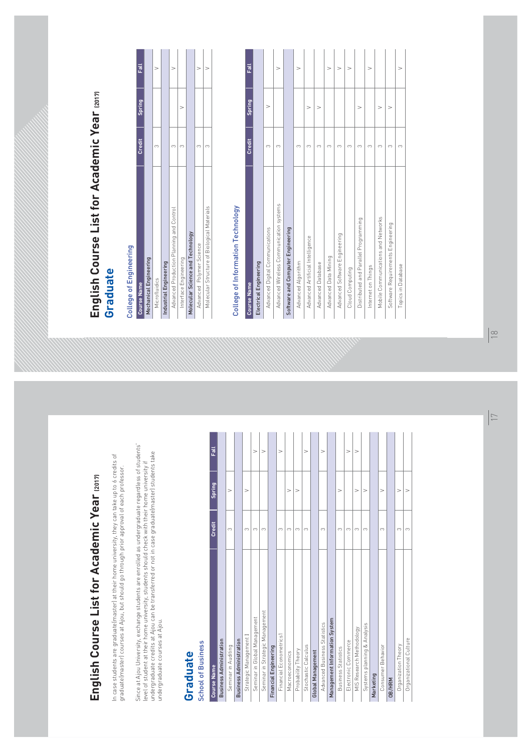# English Course List for Academic Year (2017)

In case students are graduate(master) at their home university, they can take up to 6 credits of graduate(master) courses at Ajou, but should go through prior approval of each professor.

Since at Ajou University, exchange students are enrolled as undergraduate regardless of students' level of student at their home university, students should check with their home university if undergraduate credits at Ajou can be transferred or not in case graduate(master) students take undergraduate courses at Aiou.

# Graduate

#### School of Business

| <b>Course Name</b>                   | <b>Credit</b> | <b>Spring</b> | Fall |  |
|--------------------------------------|---------------|---------------|------|--|
| <b>Business Administration</b>       |               |               |      |  |
| Seminar in Auditing                  | 3             | $\vee$        |      |  |
| <b>Business Administration</b>       |               |               |      |  |
| Strategic Management I               | 3             | $\vee$        |      |  |
| Seminar in Global Management         | 3             |               | V    |  |
| Seminar in Strategic Management      | 3             |               | V    |  |
| <b>Financial Engineering</b>         |               |               |      |  |
| <b>Financial Fconometrics1</b>       | 3             |               | V    |  |
| Macroeconomics                       | 3             | $\vee$        |      |  |
| Probability Theory                   | 3             | $\vee$        |      |  |
| Stochastic Calculus                  | 3             |               | V    |  |
| <b>Global Management</b>             |               |               |      |  |
| <b>Advanced Business Statistics</b>  | 3             |               | V    |  |
| <b>Management Information System</b> |               |               |      |  |
| <b>Business Statistics</b>           | 3             | V             |      |  |
| <b>Electronic Commerce</b>           | 3             |               | V    |  |
| MIS Research Methodology             | 3             | $\vee$        | V    |  |
| Systems planning & Analysis          | 3             | V             |      |  |
| Marketing                            |               |               |      |  |
| Consumer Behavior                    | 3             | V             |      |  |
| <b>OB/HRM</b>                        |               |               |      |  |
| Organization Theory                  | 3             | $\vee$        |      |  |
| Organizational Culture               | 3             | V             |      |  |

# English Course List for Academic Year (2017) Graduate

### College of Engineering

| <b>Course Name</b>                          | <b>Credit</b> | <b>Spring</b> | Fall |
|---------------------------------------------|---------------|---------------|------|
| <b>Mechanical Engineering</b>               |               |               |      |
| Microfluidics                               | 3             |               |      |
| <b>Industrial Engineering</b>               |               |               |      |
| Advanced Production Planning and Control    | 3             |               |      |
| Interface Engineering                       | 3             |               |      |
| <b>Molecular Science and Technology</b>     |               |               |      |
| Advanced Polymer Science                    | 3             |               |      |
| Molecular Structure of Biological Materials |               |               |      |

#### College of Information Technology

| <b>Course Name</b>                       | <b>Credit</b> | Spring | Fall   |
|------------------------------------------|---------------|--------|--------|
| <b>Electrical Engineering</b>            |               |        |        |
| Advanced Digital Communications          | 3             | ٧      |        |
| Advanced Wireless Communication systems  | 3             |        | V      |
| <b>Software and Computer Engineering</b> |               |        |        |
| Advanced Algorithm                       | 3             |        | V      |
| Advanced Artificial Intelligence         | 3             | V      |        |
| Advanced Database                        | 3             | V      |        |
| Advanced Data Mining                     | 3             |        | V      |
| Advanced Software Engineering            | 3             |        | $\vee$ |
| Cloud Computing                          | 3             |        | V      |
| Distributed and Parallel Programming     | 3             | V      |        |
| Internet on Things                       | 3             |        | $\vee$ |
| Mobile Communications and Networks       | 3             | V      |        |
| Software Requirements Engineering        | 3             | V      |        |
| Topics in Database                       | 3             |        | $\vee$ |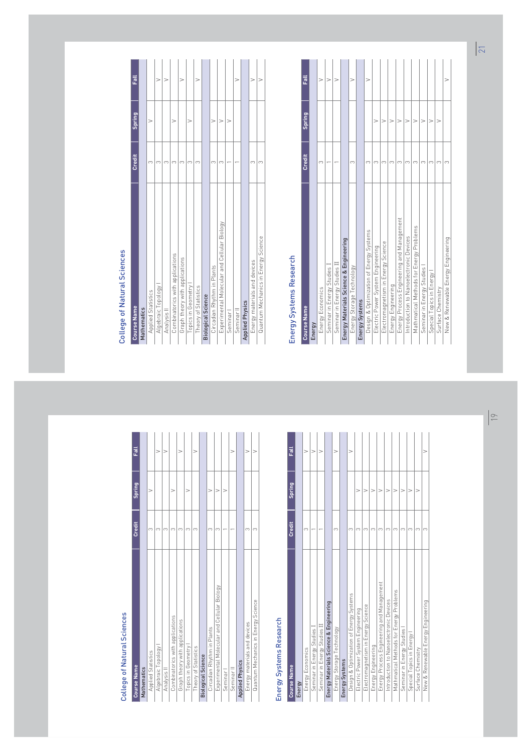### College of Natural Sciences

| <b>Course Name</b>                          | <b>Credit</b> | <b>Spring</b> | Fall   |
|---------------------------------------------|---------------|---------------|--------|
| <b>Mathematics</b>                          |               |               |        |
| <b>Applied Statistics</b>                   | 3             | V             |        |
| Algebraic Topology I                        | 3             |               | V      |
| Analysis II                                 | 3             |               | v      |
| Combinatorics with applications             | 3             | V             |        |
| Graph theory with applications              | 3             |               | $\vee$ |
| Topics in Geometry I                        | 3             | V             |        |
| Theory of Statistics                        | 3             |               | V      |
| <b>Biological Science</b>                   |               |               |        |
| Circadian Rhythm in Plants                  | 3             | V             |        |
| Experimental Molecular and Cellular Biology | 3             | V             |        |
| Seminar I                                   |               | V             |        |
| Seminar II                                  |               |               | $\vee$ |
| <b>Applied Physics</b>                      |               |               |        |
| Energy materials and devices                | 3             |               | v      |
| Quantum Mechanics in Energy Science         | 3             |               | v      |

### Energy Systems Research

| <b>Course Name</b>                                | <b>Credit</b> | <b>Spring</b> | <b>Fall</b> |  |  |
|---------------------------------------------------|---------------|---------------|-------------|--|--|
| Energy                                            |               |               |             |  |  |
| <b>Energy Economics</b>                           | 3             |               | V           |  |  |
| Seminar in Energy Studies I                       |               |               | V           |  |  |
| Seminar in Energy Studies II                      |               | V             |             |  |  |
| <b>Energy Materials Science &amp; Engineering</b> |               |               |             |  |  |
| Energy Storage Technology                         | 3             |               | V           |  |  |
| <b>Energy Systems</b>                             |               |               |             |  |  |
| Design & Optimization of Energy Systems           | 3             |               | v           |  |  |
| Electric Power System Engineering                 | 3             | V             |             |  |  |
| Electromagnetism in Energy Science                | 3             | V             |             |  |  |
| <b>Energy Engineering</b>                         | 3             | V             |             |  |  |
| Energy Process Engineering and Management         | 3             | V             |             |  |  |
| Introduction to Nanoelectronic Devices            | 3             | V             |             |  |  |
| Mathmatical Methods for Energy Problems           | 3             | V             |             |  |  |
| Seminar in Energy Studies I                       | 3             | $\vee$        |             |  |  |
| Special Topics in Energy I                        | 3             | $\vee$        |             |  |  |
| Surface Chemistry                                 | 3             | V             |             |  |  |
| New & Renewable Energy Engineering                | 3             |               | $\vee$      |  |  |

### College of Natural Sciences

| <b>Course Name</b>                          | <b>Credit</b> | <b>Spring</b> | Fall   |  |  |  |
|---------------------------------------------|---------------|---------------|--------|--|--|--|
| <b>Mathematics</b>                          |               |               |        |  |  |  |
| <b>Applied Statistics</b>                   | 3             | V             |        |  |  |  |
| Algebraic Topology I                        | 3             |               | V      |  |  |  |
| Analysis II                                 | 3             |               | V      |  |  |  |
| Combinatorics with applications             | 3             | V             |        |  |  |  |
| Graph theory with applications              | 3             |               | V      |  |  |  |
| Topics in Geometry I                        | 3             | V             |        |  |  |  |
| Theory of Statistics                        | 3             |               | V      |  |  |  |
| <b>Biological Science</b>                   |               |               |        |  |  |  |
| Circadian Rhythm in Plants                  | 3             | V             |        |  |  |  |
| Experimental Molecular and Cellular Biology | 3             | V             |        |  |  |  |
| Seminar I                                   |               | V             |        |  |  |  |
| Seminar II                                  |               |               | $\vee$ |  |  |  |
| <b>Applied Physics</b>                      |               |               |        |  |  |  |
| Energy materials and devices                | 3             |               | ν      |  |  |  |
| Quantum Mechanics in Energy Science         | 3             |               | V      |  |  |  |

### Energy Systems Research

| <b>Course Name</b>                                | <b>Credit</b> | <b>Spring</b> | Fall   |  |  |
|---------------------------------------------------|---------------|---------------|--------|--|--|
| Energy                                            |               |               |        |  |  |
| <b>Energy Economics</b>                           | 3             |               | V      |  |  |
| Seminar in Energy Studies I                       |               |               | $\vee$ |  |  |
| Seminar in Energy Studies II                      |               |               | V      |  |  |
| <b>Energy Materials Science &amp; Engineering</b> |               |               |        |  |  |
| 3<br>Energy Storage Technology                    |               |               |        |  |  |
| <b>Energy Systems</b>                             |               |               |        |  |  |
| Design & Optimization of Energy Systems           | 3             |               | ٧      |  |  |
| Electric Power System Engineering                 | 3             | V             |        |  |  |
| Electromagnetism in Energy Science                | 3             | V             |        |  |  |
| Energy Engineering                                | 3             | V             |        |  |  |
| Energy Process Engineering and Management         | 3             | V             |        |  |  |
| Introduction to Nanoelectronic Devices            | 3             | $\vee$        |        |  |  |
| Mathmatical Methods for Energy Problems           | 3             | $\vee$        |        |  |  |
| Seminar in Energy Studies I                       | 3             | V             |        |  |  |
| Special Topics in Energy I                        | 3             | $\vee$        |        |  |  |
| Surface Chemistry                                 | 3             | $\vee$        |        |  |  |
| New & Renewable Energy Engineering                | 3             |               | $\vee$ |  |  |